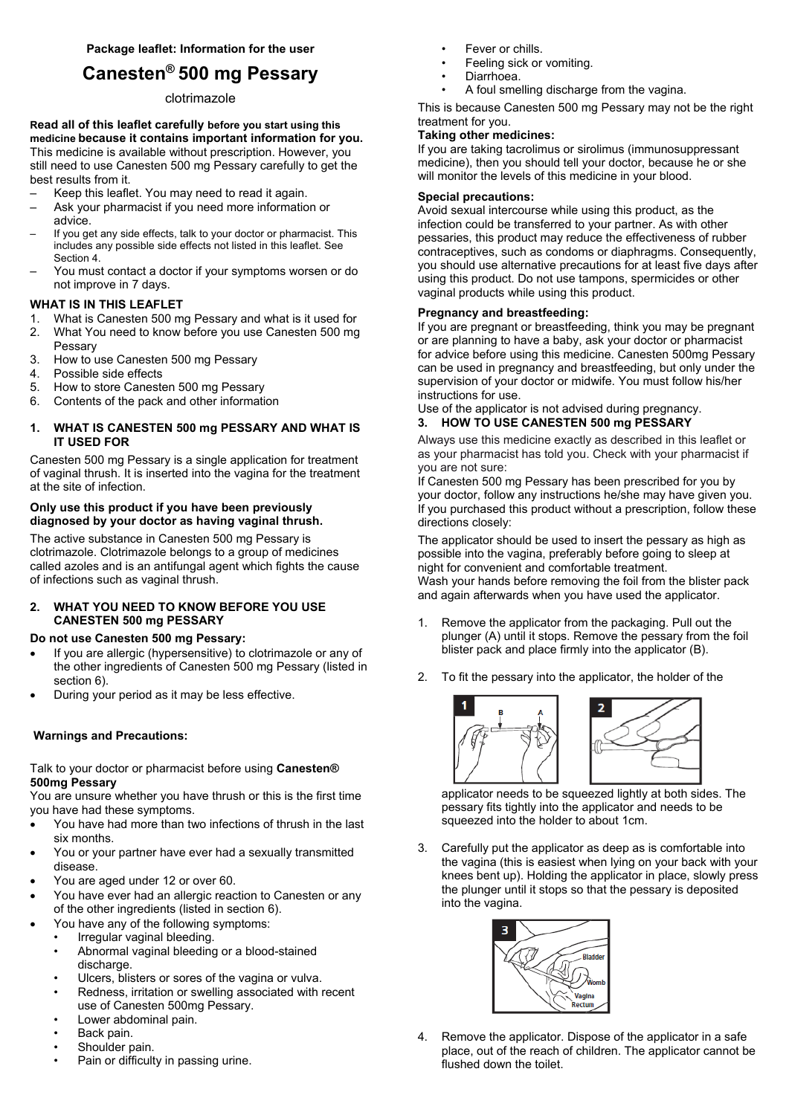# **Canesten® 500 mg Pessary**

## clotrimazole

**Read all of this leaflet carefully before you start using this medicine because it contains important information for you.**  This medicine is available without prescription. However, you still need to use Canesten 500 mg Pessary carefully to get the best results from it.

- Keep this leaflet. You may need to read it again.
- Ask your pharmacist if you need more information or advice.
- If you get any side effects, talk to your doctor or pharmacist. This includes any possible side effects not listed in this leaflet. See Section 4.
- You must contact a doctor if your symptoms worsen or do not improve in 7 days.

## **WHAT IS IN THIS LEAFLET**

- 1. What is Canesten 500 mg Pessary and what is it used for
- 2. What You need to know before you use Canesten 500 mg Pessary
- 3. How to use Canesten 500 mg Pessary
- 4. Possible side effects
- 5. How to store Canesten 500 mg Pessary
- 6. Contents of the pack and other information

## **1. WHAT IS CANESTEN 500 mg PESSARY AND WHAT IS IT USED FOR**

Canesten 500 mg Pessary is a single application for treatment of vaginal thrush. It is inserted into the vagina for the treatment at the site of infection.

## **Only use this product if you have been previously diagnosed by your doctor as having vaginal thrush.**

The active substance in Canesten 500 mg Pessary is clotrimazole. Clotrimazole belongs to a group of medicines called azoles and is an antifungal agent which fights the cause of infections such as vaginal thrush.

# **2. WHAT YOU NEED TO KNOW BEFORE YOU USE CANESTEN 500 mg PESSARY**

## **Do not use Canesten 500 mg Pessary:**

- If you are allergic (hypersensitive) to clotrimazole or any of the other ingredients of Canesten 500 mg Pessary (listed in section 6).
- During your period as it may be less effective.

# **Warnings and Precautions:**

## Talk to your doctor or pharmacist before using **Canesten® 500mg Pessary**

You are unsure whether you have thrush or this is the first time you have had these symptoms.

- You have had more than two infections of thrush in the last six months.
- You or your partner have ever had a sexually transmitted disease.
- You are aged under 12 or over 60.
- You have ever had an allergic reaction to Canesten or any of the other ingredients (listed in section 6).
- You have any of the following symptoms:
	- Irregular vaginal bleeding.
	- Abnormal vaginal bleeding or a blood-stained discharge.
	- Ulcers, blisters or sores of the vagina or vulva.
	- Redness, irritation or swelling associated with recent use of Canesten 500mg Pessary.
	- Lower abdominal pain.
	- Back pain.
	- Shoulder pain.
	- Pain or difficulty in passing urine.
- Fever or chills.
- Feeling sick or vomiting.
- Diarrhoea.
	- A foul smelling discharge from the vagina.

This is because Canesten 500 mg Pessary may not be the right treatment for you.

# **Taking other medicines:**

If you are taking tacrolimus or sirolimus (immunosuppressant medicine), then you should tell your doctor, because he or she will monitor the levels of this medicine in your blood.

## **Special precautions:**

Avoid sexual intercourse while using this product, as the infection could be transferred to your partner. As with other pessaries, this product may reduce the effectiveness of rubber contraceptives, such as condoms or diaphragms. Consequently, you should use alternative precautions for at least five days after using this product. Do not use tampons, spermicides or other vaginal products while using this product.

## **Pregnancy and breastfeeding:**

If you are pregnant or breastfeeding, think you may be pregnant or are planning to have a baby, ask your doctor or pharmacist for advice before using this medicine. Canesten 500mg Pessary can be used in pregnancy and breastfeeding, but only under the supervision of your doctor or midwife. You must follow his/her instructions for use.

Use of the applicator is not advised during pregnancy.

# **3. HOW TO USE CANESTEN 500 mg PESSARY**

Always use this medicine exactly as described in this leaflet or as your pharmacist has told you. Check with your pharmacist if you are not sure:

If Canesten 500 mg Pessary has been prescribed for you by your doctor, follow any instructions he/she may have given you. If you purchased this product without a prescription, follow these directions closely:

The applicator should be used to insert the pessary as high as possible into the vagina, preferably before going to sleep at night for convenient and comfortable treatment. Wash your hands before removing the foil from the blister pack and again afterwards when you have used the applicator.

- 1. Remove the applicator from the packaging. Pull out the plunger (A) until it stops. Remove the pessary from the foil blister pack and place firmly into the applicator (B).
- 2. To fit the pessary into the applicator, the holder of the



applicator needs to be squeezed lightly at both sides. The pessary fits tightly into the applicator and needs to be squeezed into the holder to about 1cm.

3. Carefully put the applicator as deep as is comfortable into the vagina (this is easiest when lying on your back with your knees bent up). Holding the applicator in place, slowly press the plunger until it stops so that the pessary is deposited into the vagina.



4. Remove the applicator. Dispose of the applicator in a safe place, out of the reach of children. The applicator cannot be flushed down the toilet.